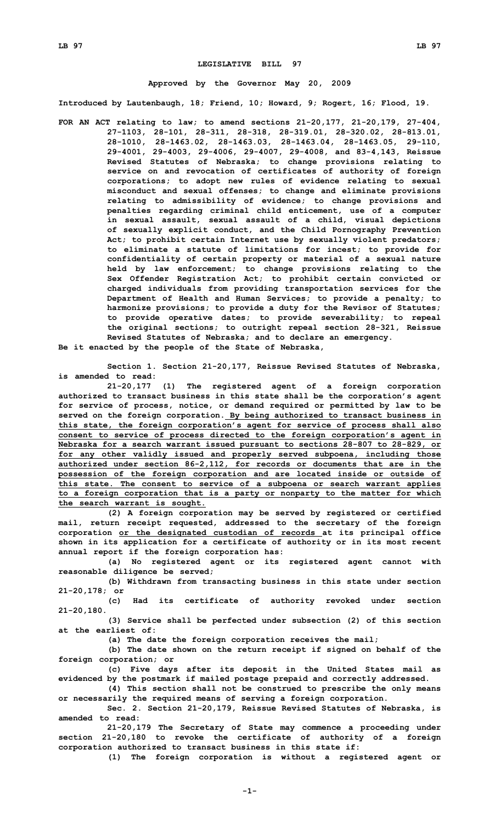## **LEGISLATIVE BILL 97**

## **Approved by the Governor May 20, 2009**

**Introduced by Lautenbaugh, 18; Friend, 10; Howard, 9; Rogert, 16; Flood, 19.**

**FOR AN ACT relating to law; to amend sections 21-20,177, 21-20,179, 27-404, 27-1103, 28-101, 28-311, 28-318, 28-319.01, 28-320.02, 28-813.01, 28-1010, 28-1463.02, 28-1463.03, 28-1463.04, 28-1463.05, 29-110, 29-4001, 29-4003, 29-4006, 29-4007, 29-4008, and 83-4,143, Reissue Revised Statutes of Nebraska; to change provisions relating to service on and revocation of certificates of authority of foreign corporations; to adopt new rules of evidence relating to sexual misconduct and sexual offenses; to change and eliminate provisions relating to admissibility of evidence; to change provisions and penalties regarding criminal child enticement, use of <sup>a</sup> computer in sexual assault, sexual assault of <sup>a</sup> child, visual depictions of sexually explicit conduct, and the Child Pornography Prevention Act; to prohibit certain Internet use by sexually violent predators; to eliminate <sup>a</sup> statute of limitations for incest; to provide for confidentiality of certain property or material of <sup>a</sup> sexual nature held by law enforcement; to change provisions relating to the Sex Offender Registration Act; to prohibit certain convicted or charged individuals from providing transportation services for the Department of Health and Human Services; to provide <sup>a</sup> penalty; to harmonize provisions; to provide <sup>a</sup> duty for the Revisor of Statutes; to provide operative dates; to provide severability; to repeal the original sections; to outright repeal section 28-321, Reissue Revised Statutes of Nebraska; and to declare an emergency.**

**Be it enacted by the people of the State of Nebraska,**

**Section 1. Section 21-20,177, Reissue Revised Statutes of Nebraska, is amended to read:**

**21-20,177 (1) The registered agent of <sup>a</sup> foreign corporation authorized to transact business in this state shall be the corporation's agent for service of process, notice, or demand required or permitted by law to be served on the foreign corporation. By being authorized to transact business in this state, the foreign corporation's agent for service of process shall also consent to service of process directed to the foreign corporation's agent in Nebraska for <sup>a</sup> search warrant issued pursuant to sections 28-807 to 28-829, or for any other validly issued and properly served subpoena, including those authorized under section 86-2,112, for records or documents that are in the possession of the foreign corporation and are located inside or outside of this state. The consent to service of <sup>a</sup> subpoena or search warrant applies to <sup>a</sup> foreign corporation that is <sup>a</sup> party or nonparty to the matter for which the search warrant is sought.**

**(2) <sup>A</sup> foreign corporation may be served by registered or certified mail, return receipt requested, addressed to the secretary of the foreign corporation or the designated custodian of records at its principal office shown in its application for <sup>a</sup> certificate of authority or in its most recent annual report if the foreign corporation has:**

**(a) No registered agent or its registered agent cannot with reasonable diligence be served;**

**(b) Withdrawn from transacting business in this state under section 21-20,178; or**

**(c) Had its certificate of authority revoked under section 21-20,180.**

**(3) Service shall be perfected under subsection (2) of this section at the earliest of:**

**(a) The date the foreign corporation receives the mail;**

**(b) The date shown on the return receipt if signed on behalf of the foreign corporation; or**

**(c) Five days after its deposit in the United States mail as evidenced by the postmark if mailed postage prepaid and correctly addressed.**

**(4) This section shall not be construed to prescribe the only means or necessarily the required means of serving <sup>a</sup> foreign corporation.**

**Sec. 2. Section 21-20,179, Reissue Revised Statutes of Nebraska, is amended to read:**

**21-20,179 The Secretary of State may commence <sup>a</sup> proceeding under section 21-20,180 to revoke the certificate of authority of <sup>a</sup> foreign corporation authorized to transact business in this state if:**

**(1) The foreign corporation is without <sup>a</sup> registered agent or**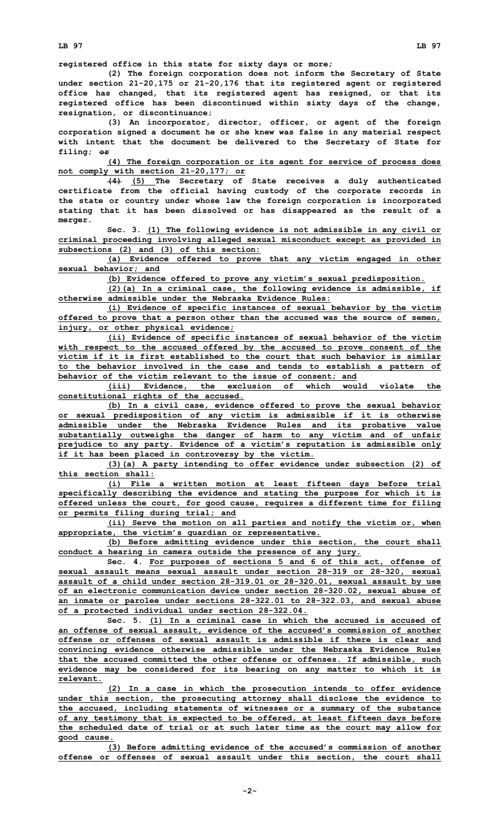**(2) The foreign corporation does not inform the Secretary of State under section 21-20,175 or 21-20,176 that its registered agent or registered office has changed, that its registered agent has resigned, or that its registered office has been discontinued within sixty days of the change, resignation, or discontinuance;**

**(3) An incorporator, director, officer, or agent of the foreign corporation signed <sup>a</sup> document he or she knew was false in any material respect with intent that the document be delivered to the Secretary of State for filing; or**

**(4) The foreign corporation or its agent for service of process does not comply with section 21-20,177; or**

**(4) (5) The Secretary of State receives <sup>a</sup> duly authenticated certificate from the official having custody of the corporate records in the state or country under whose law the foreign corporation is incorporated stating that it has been dissolved or has disappeared as the result of <sup>a</sup> merger.**

**Sec. 3. (1) The following evidence is not admissible in any civil or criminal proceeding involving alleged sexual misconduct except as provided in subsections (2) and (3) of this section:**

**(a) Evidence offered to prove that any victim engaged in other sexual behavior; and**

**(b) Evidence offered to prove any victim's sexual predisposition.**

**(2)(a) In <sup>a</sup> criminal case, the following evidence is admissible, if otherwise admissible under the Nebraska Evidence Rules:**

**(i) Evidence of specific instances of sexual behavior by the victim offered to prove that <sup>a</sup> person other than the accused was the source of semen, injury, or other physical evidence;**

**(ii) Evidence of specific instances of sexual behavior of the victim with respect to the accused offered by the accused to prove consent of the victim if it is first established to the court that such behavior is similar to the behavior involved in the case and tends to establish <sup>a</sup> pattern of behavior of the victim relevant to the issue of consent; and**

**(iii) Evidence, the exclusion of which would violate the constitutional rights of the accused.**

**(b) In <sup>a</sup> civil case, evidence offered to prove the sexual behavior or sexual predisposition of any victim is admissible if it is otherwise admissible under the Nebraska Evidence Rules and its probative value substantially outweighs the danger of harm to any victim and of unfair prejudice to any party. Evidence of <sup>a</sup> victim's reputation is admissible only if it has been placed in controversy by the victim.**

**(3)(a) <sup>A</sup> party intending to offer evidence under subsection (2) of this section shall:**

**(i) File <sup>a</sup> written motion at least fifteen days before trial specifically describing the evidence and stating the purpose for which it is offered unless the court, for good cause, requires <sup>a</sup> different time for filing or permits filing during trial; and**

**(ii) Serve the motion on all parties and notify the victim or, when appropriate, the victim's guardian or representative.**

**(b) Before admitting evidence under this section, the court shall conduct <sup>a</sup> hearing in camera outside the presence of any jury.**

**Sec. 4. For purposes of sections 5 and 6 of this act, offense of sexual assault means sexual assault under section 28-319 or 28-320, sexual assault of <sup>a</sup> child under section 28-319.01 or 28-320.01, sexual assault by use of an electronic communication device under section 28-320.02, sexual abuse of an inmate or parolee under sections 28-322.01 to 28-322.03, and sexual abuse of <sup>a</sup> protected individual under section 28-322.04.**

**Sec. 5. (1) In <sup>a</sup> criminal case in which the accused is accused of an offense of sexual assault, evidence of the accused's commission of another offense or offenses of sexual assault is admissible if there is clear and convincing evidence otherwise admissible under the Nebraska Evidence Rules that the accused committed the other offense or offenses. If admissible, such evidence may be considered for its bearing on any matter to which it is relevant.**

**(2) In <sup>a</sup> case in which the prosecution intends to offer evidence under this section, the prosecuting attorney shall disclose the evidence to the accused, including statements of witnesses or <sup>a</sup> summary of the substance of any testimony that is expected to be offered, at least fifteen days before the scheduled date of trial or at such later time as the court may allow for good cause.**

**(3) Before admitting evidence of the accused's commission of another offense or offenses of sexual assault under this section, the court shall**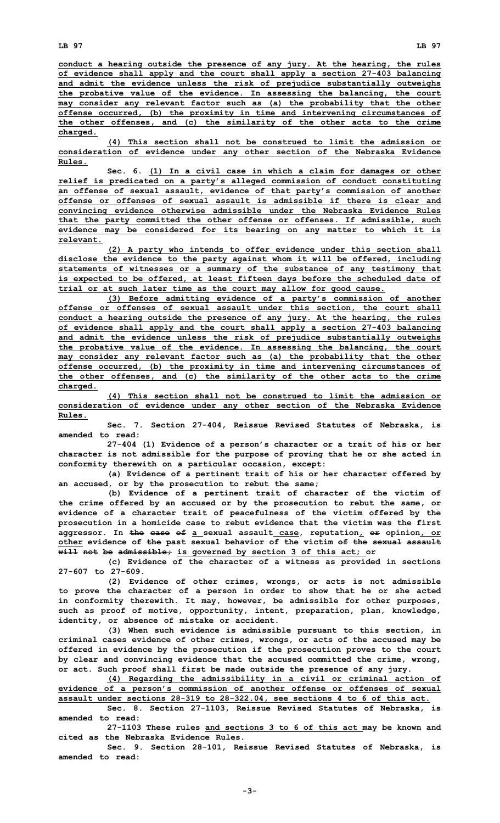**conduct <sup>a</sup> hearing outside the presence of any jury. At the hearing, the rules of evidence shall apply and the court shall apply <sup>a</sup> section 27-403 balancing and admit the evidence unless the risk of prejudice substantially outweighs the probative value of the evidence. In assessing the balancing, the court may consider any relevant factor such as (a) the probability that the other offense occurred, (b) the proximity in time and intervening circumstances of the other offenses, and (c) the similarity of the other acts to the crime charged.**

**(4) This section shall not be construed to limit the admission or consideration of evidence under any other section of the Nebraska Evidence Rules.**

**Sec. 6. (1) In <sup>a</sup> civil case in which <sup>a</sup> claim for damages or other relief is predicated on <sup>a</sup> party's alleged commission of conduct constituting an offense of sexual assault, evidence of that party's commission of another offense or offenses of sexual assault is admissible if there is clear and convincing evidence otherwise admissible under the Nebraska Evidence Rules that the party committed the other offense or offenses. If admissible, such evidence may be considered for its bearing on any matter to which it is relevant.**

**(2) <sup>A</sup> party who intends to offer evidence under this section shall disclose the evidence to the party against whom it will be offered, including statements of witnesses or <sup>a</sup> summary of the substance of any testimony that is expected to be offered, at least fifteen days before the scheduled date of trial or at such later time as the court may allow for good cause.**

**(3) Before admitting evidence of <sup>a</sup> party's commission of another offense or offenses of sexual assault under this section, the court shall conduct <sup>a</sup> hearing outside the presence of any jury. At the hearing, the rules of evidence shall apply and the court shall apply <sup>a</sup> section 27-403 balancing and admit the evidence unless the risk of prejudice substantially outweighs the probative value of the evidence. In assessing the balancing, the court may consider any relevant factor such as (a) the probability that the other offense occurred, (b) the proximity in time and intervening circumstances of the other offenses, and (c) the similarity of the other acts to the crime charged.**

**(4) This section shall not be construed to limit the admission or consideration of evidence under any other section of the Nebraska Evidence Rules.**

**Sec. 7. Section 27-404, Reissue Revised Statutes of Nebraska, is amended to read:**

**27-404 (1) Evidence of <sup>a</sup> person's character or <sup>a</sup> trait of his or her character is not admissible for the purpose of proving that he or she acted in conformity therewith on <sup>a</sup> particular occasion, except:**

**(a) Evidence of <sup>a</sup> pertinent trait of his or her character offered by an accused, or by the prosecution to rebut the same;**

**(b) Evidence of <sup>a</sup> pertinent trait of character of the victim of the crime offered by an accused or by the prosecution to rebut the same, or evidence of <sup>a</sup> character trait of peacefulness of the victim offered by the prosecution in <sup>a</sup> homicide case to rebut evidence that the victim was the first aggressor. In the case of <sup>a</sup> sexual assault case, reputation, or opinion, or other evidence of the past sexual behavior of the victim of the sexual assault will not be admissible; is governed by section 3 of this act; or**

**(c) Evidence of the character of <sup>a</sup> witness as provided in sections 27-607 to 27-609.**

**(2) Evidence of other crimes, wrongs, or acts is not admissible to prove the character of <sup>a</sup> person in order to show that he or she acted in conformity therewith. It may, however, be admissible for other purposes, such as proof of motive, opportunity, intent, preparation, plan, knowledge, identity, or absence of mistake or accident.**

**(3) When such evidence is admissible pursuant to this section, in criminal cases evidence of other crimes, wrongs, or acts of the accused may be offered in evidence by the prosecution if the prosecution proves to the court by clear and convincing evidence that the accused committed the crime, wrong, or act. Such proof shall first be made outside the presence of any jury.**

**(4) Regarding the admissibility in <sup>a</sup> civil or criminal action of evidence of <sup>a</sup> person's commission of another offense or offenses of sexual assault under sections 28-319 to 28-322.04, see sections 4 to 6 of this act.**

**Sec. 8. Section 27-1103, Reissue Revised Statutes of Nebraska, is amended to read:**

**27-1103 These rules and sections 3 to 6 of this act may be known and cited as the Nebraska Evidence Rules.**

**Sec. 9. Section 28-101, Reissue Revised Statutes of Nebraska, is amended to read:**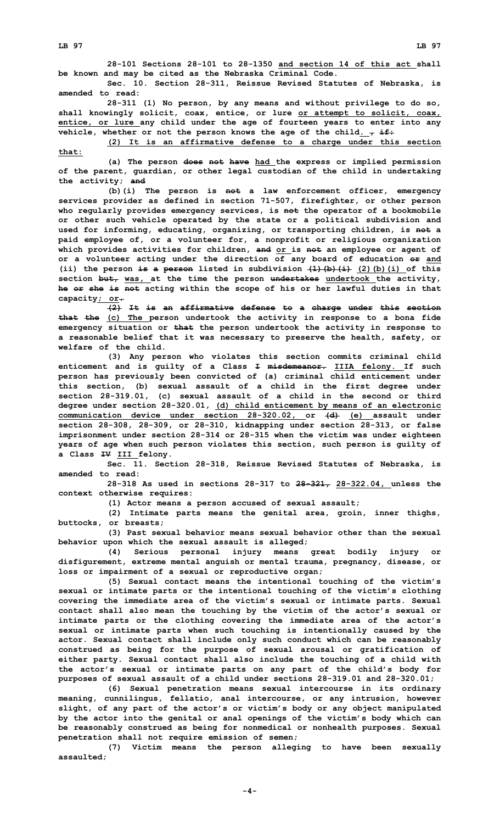**28-101 Sections 28-101 to 28-1350 and section 14 of this act shall be known and may be cited as the Nebraska Criminal Code.**

**Sec. 10. Section 28-311, Reissue Revised Statutes of Nebraska, is amended to read:**

**28-311 (1) No person, by any means and without privilege to do so, shall knowingly solicit, coax, entice, or lure or attempt to solicit, coax, entice, or lure any child under the age of fourteen years to enter into any vehicle, whether or not the person knows the age of the child. , if:**

**(2) It is an affirmative defense to <sup>a</sup> charge under this section that:**

**(a) The person does not have had the express or implied permission of the parent, guardian, or other legal custodian of the child in undertaking the activity; and**

**(b)(i) The person is not <sup>a</sup> law enforcement officer, emergency services provider as defined in section 71-507, firefighter, or other person who regularly provides emergency services, is not the operator of <sup>a</sup> bookmobile or other such vehicle operated by the state or <sup>a</sup> political subdivision and used for informing, educating, organizing, or transporting children, is not <sup>a</sup> paid employee of, or <sup>a</sup> volunteer for, <sup>a</sup> nonprofit or religious organization which provides activities for children, and or is not an employee or agent of or <sup>a</sup> volunteer acting under the direction of any board of education or and (ii) the person is <sup>a</sup> person listed in subdivision (1)(b)(i) (2)(b)(i) of this section but, was, at the time the person undertakes undertook the activity, he or she is not acting within the scope of his or her lawful duties in that capacity; or.**

**(2) It is an affirmative defense to <sup>a</sup> charge under this section that the (c) The person undertook the activity in response to <sup>a</sup> bona fide emergency situation or that the person undertook the activity in response to <sup>a</sup> reasonable belief that it was necessary to preserve the health, safety, or welfare of the child.**

**(3) Any person who violates this section commits criminal child enticement and is guilty of <sup>a</sup> Class I misdemeanor. IIIA felony. If such person has previously been convicted of (a) criminal child enticement under this section, (b) sexual assault of <sup>a</sup> child in the first degree under section 28-319.01, (c) sexual assault of <sup>a</sup> child in the second or third degree under section 28-320.01, (d) child enticement by means of an electronic communication device under section 28-320.02, or (d) (e) assault under section 28-308, 28-309, or 28-310, kidnapping under section 28-313, or false imprisonment under section 28-314 or 28-315 when the victim was under eighteen years of age when such person violates this section, such person is guilty of <sup>a</sup> Class IV III felony.**

**Sec. 11. Section 28-318, Reissue Revised Statutes of Nebraska, is amended to read:**

**28-318 As used in sections 28-317 to 28-321, 28-322.04, unless the context otherwise requires:**

**(1) Actor means <sup>a</sup> person accused of sexual assault;**

**(2) Intimate parts means the genital area, groin, inner thighs, buttocks, or breasts;**

**(3) Past sexual behavior means sexual behavior other than the sexual behavior upon which the sexual assault is alleged;**

**(4) Serious personal injury means great bodily injury or disfigurement, extreme mental anguish or mental trauma, pregnancy, disease, or loss or impairment of <sup>a</sup> sexual or reproductive organ;**

**(5) Sexual contact means the intentional touching of the victim's sexual or intimate parts or the intentional touching of the victim's clothing covering the immediate area of the victim's sexual or intimate parts. Sexual contact shall also mean the touching by the victim of the actor's sexual or intimate parts or the clothing covering the immediate area of the actor's sexual or intimate parts when such touching is intentionally caused by the actor. Sexual contact shall include only such conduct which can be reasonably construed as being for the purpose of sexual arousal or gratification of either party. Sexual contact shall also include the touching of <sup>a</sup> child with the actor's sexual or intimate parts on any part of the child's body for purposes of sexual assault of <sup>a</sup> child under sections 28-319.01 and 28-320.01;**

**(6) Sexual penetration means sexual intercourse in its ordinary meaning, cunnilingus, fellatio, anal intercourse, or any intrusion, however slight, of any part of the actor's or victim's body or any object manipulated by the actor into the genital or anal openings of the victim's body which can be reasonably construed as being for nonmedical or nonhealth purposes. Sexual penetration shall not require emission of semen;**

**(7) Victim means the person alleging to have been sexually assaulted;**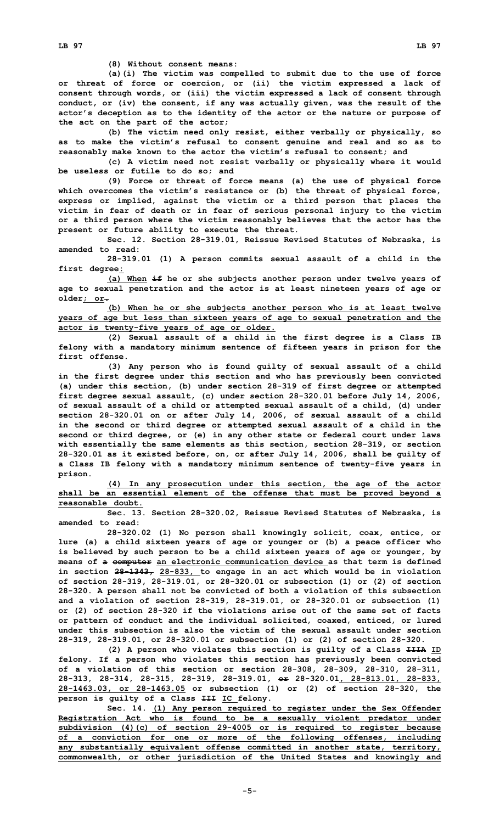**(8) Without consent means:**

**(a)(i) The victim was compelled to submit due to the use of force or threat of force or coercion, or (ii) the victim expressed <sup>a</sup> lack of consent through words, or (iii) the victim expressed <sup>a</sup> lack of consent through conduct, or (iv) the consent, if any was actually given, was the result of the actor's deception as to the identity of the actor or the nature or purpose of the act on the part of the actor;**

**(b) The victim need only resist, either verbally or physically, so as to make the victim's refusal to consent genuine and real and so as to reasonably make known to the actor the victim's refusal to consent; and**

**(c) <sup>A</sup> victim need not resist verbally or physically where it would be useless or futile to do so; and**

**(9) Force or threat of force means (a) the use of physical force which overcomes the victim's resistance or (b) the threat of physical force, express or implied, against the victim or <sup>a</sup> third person that places the victim in fear of death or in fear of serious personal injury to the victim or <sup>a</sup> third person where the victim reasonably believes that the actor has the present or future ability to execute the threat.**

**Sec. 12. Section 28-319.01, Reissue Revised Statutes of Nebraska, is amended to read:**

**28-319.01 (1) <sup>A</sup> person commits sexual assault of <sup>a</sup> child in the first degree:**

**(a) When if he or she subjects another person under twelve years of age to sexual penetration and the actor is at least nineteen years of age or older; or.**

**(b) When he or she subjects another person who is at least twelve years of age but less than sixteen years of age to sexual penetration and the actor is twenty-five years of age or older.**

**(2) Sexual assault of <sup>a</sup> child in the first degree is <sup>a</sup> Class IB felony with <sup>a</sup> mandatory minimum sentence of fifteen years in prison for the first offense.**

**(3) Any person who is found guilty of sexual assault of <sup>a</sup> child in the first degree under this section and who has previously been convicted (a) under this section, (b) under section 28-319 of first degree or attempted first degree sexual assault, (c) under section 28-320.01 before July 14, 2006, of sexual assault of <sup>a</sup> child or attempted sexual assault of <sup>a</sup> child, (d) under section 28-320.01 on or after July 14, 2006, of sexual assault of <sup>a</sup> child in the second or third degree or attempted sexual assault of <sup>a</sup> child in the second or third degree, or (e) in any other state or federal court under laws with essentially the same elements as this section, section 28-319, or section 28-320.01 as it existed before, on, or after July 14, 2006, shall be guilty of <sup>a</sup> Class IB felony with <sup>a</sup> mandatory minimum sentence of twenty-five years in prison.**

**(4) In any prosecution under this section, the age of the actor shall be an essential element of the offense that must be proved beyond <sup>a</sup> reasonable doubt.**

**Sec. 13. Section 28-320.02, Reissue Revised Statutes of Nebraska, is amended to read:**

**28-320.02 (1) No person shall knowingly solicit, coax, entice, or lure (a) <sup>a</sup> child sixteen years of age or younger or (b) <sup>a</sup> peace officer who is believed by such person to be <sup>a</sup> child sixteen years of age or younger, by means of <sup>a</sup> computer an electronic communication device as that term is defined in section 28-1343, 28-833, to engage in an act which would be in violation of section 28-319, 28-319.01, or 28-320.01 or subsection (1) or (2) of section 28-320. <sup>A</sup> person shall not be convicted of both <sup>a</sup> violation of this subsection and <sup>a</sup> violation of section 28-319, 28-319.01, or 28-320.01 or subsection (1) or (2) of section 28-320 if the violations arise out of the same set of facts or pattern of conduct and the individual solicited, coaxed, enticed, or lured under this subsection is also the victim of the sexual assault under section 28-319, 28-319.01, or 28-320.01 or subsection (1) or (2) of section 28-320.**

**(2) <sup>A</sup> person who violates this section is guilty of <sup>a</sup> Class IIIA ID felony. If <sup>a</sup> person who violates this section has previously been convicted of <sup>a</sup> violation of this section or section 28-308, 28-309, 28-310, 28-311, 28-313, 28-314, 28-315, 28-319, 28-319.01, or 28-320.01, 28-813.01, 28-833, 28-1463.03, or 28-1463.05 or subsection (1) or (2) of section 28-320, the person is guilty of <sup>a</sup> Class III IC felony.**

**Sec. 14. (1) Any person required to register under the Sex Offender Registration Act who is found to be <sup>a</sup> sexually violent predator under subdivision (4)(c) of section 29-4005 or is required to register because of <sup>a</sup> conviction for one or more of the following offenses, including any substantially equivalent offense committed in another state, territory, commonwealth, or other jurisdiction of the United States and knowingly and**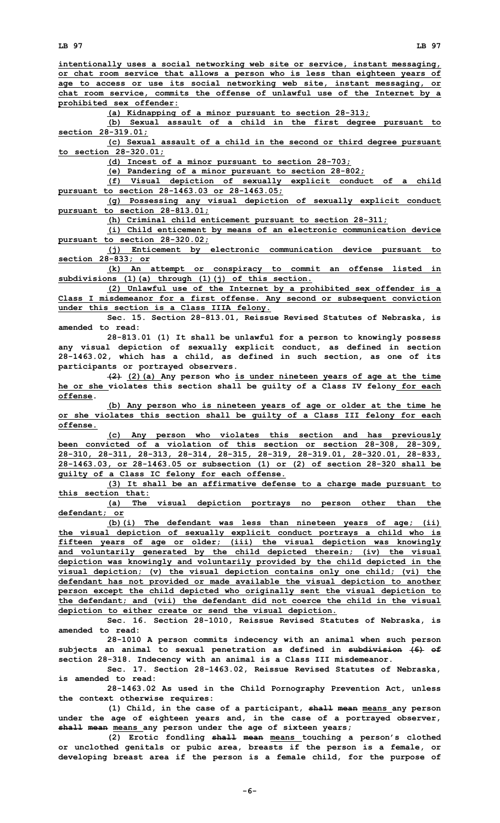**intentionally uses <sup>a</sup> social networking web site or service, instant messaging, or chat room service that allows <sup>a</sup> person who is less than eighteen years of age to access or use its social networking web site, instant messaging, or chat room service, commits the offense of unlawful use of the Internet by <sup>a</sup> prohibited sex offender:**

**(a) Kidnapping of <sup>a</sup> minor pursuant to section 28-313;**

**(b) Sexual assault of <sup>a</sup> child in the first degree pursuant to section 28-319.01;**

**(c) Sexual assault of <sup>a</sup> child in the second or third degree pursuant to section 28-320.01;**

**(d) Incest of <sup>a</sup> minor pursuant to section 28-703;**

**(e) Pandering of <sup>a</sup> minor pursuant to section 28-802;**

**(f) Visual depiction of sexually explicit conduct of <sup>a</sup> child pursuant to section 28-1463.03 or 28-1463.05;**

**(g) Possessing any visual depiction of sexually explicit conduct pursuant to section 28-813.01;**

**(h) Criminal child enticement pursuant to section 28-311;**

**(i) Child enticement by means of an electronic communication device pursuant to section 28-320.02;**

**(j) Enticement by electronic communication device pursuant to section 28-833; or**

**(k) An attempt or conspiracy to commit an offense listed in subdivisions (1)(a) through (1)(j) of this section.**

**(2) Unlawful use of the Internet by <sup>a</sup> prohibited sex offender is <sup>a</sup> Class I misdemeanor for <sup>a</sup> first offense. Any second or subsequent conviction under this section is <sup>a</sup> Class IIIA felony.**

**Sec. 15. Section 28-813.01, Reissue Revised Statutes of Nebraska, is amended to read:**

**28-813.01 (1) It shall be unlawful for <sup>a</sup> person to knowingly possess any visual depiction of sexually explicit conduct, as defined in section 28-1463.02, which has <sup>a</sup> child, as defined in such section, as one of its participants or portrayed observers.**

**(2) (2)(a) Any person who is under nineteen years of age at the time he or she violates this section shall be guilty of <sup>a</sup> Class IV felony for each offense.**

**(b) Any person who is nineteen years of age or older at the time he or she violates this section shall be guilty of <sup>a</sup> Class III felony for each offense.**

**(c) Any person who violates this section and has previously been convicted of <sup>a</sup> violation of this section or section 28-308, 28-309, 28-310, 28-311, 28-313, 28-314, 28-315, 28-319, 28-319.01, 28-320.01, 28-833, 28-1463.03, or 28-1463.05 or subsection (1) or (2) of section 28-320 shall be guilty of <sup>a</sup> Class IC felony for each offense.**

**(3) It shall be an affirmative defense to <sup>a</sup> charge made pursuant to this section that:**

**(a) The visual depiction portrays no person other than the defendant; or**

**(b)(i) The defendant was less than nineteen years of age; (ii) the visual depiction of sexually explicit conduct portrays <sup>a</sup> child who is fifteen years of age or older; (iii) the visual depiction was knowingly and voluntarily generated by the child depicted therein; (iv) the visual depiction was knowingly and voluntarily provided by the child depicted in the visual depiction; (v) the visual depiction contains only one child; (vi) the defendant has not provided or made available the visual depiction to another person except the child depicted who originally sent the visual depiction to the defendant; and (vii) the defendant did not coerce the child in the visual depiction to either create or send the visual depiction.**

**Sec. 16. Section 28-1010, Reissue Revised Statutes of Nebraska, is amended to read:**

**28-1010 <sup>A</sup> person commits indecency with an animal when such person subjects an animal to sexual penetration as defined in subdivision (6) of section 28-318. Indecency with an animal is <sup>a</sup> Class III misdemeanor.**

**Sec. 17. Section 28-1463.02, Reissue Revised Statutes of Nebraska, is amended to read:**

**28-1463.02 As used in the Child Pornography Prevention Act, unless the context otherwise requires:**

**(1) Child, in the case of <sup>a</sup> participant, shall mean means any person under the age of eighteen years and, in the case of <sup>a</sup> portrayed observer, shall mean means any person under the age of sixteen years;**

**(2) Erotic fondling shall mean means touching <sup>a</sup> person's clothed or unclothed genitals or pubic area, breasts if the person is <sup>a</sup> female, or developing breast area if the person is <sup>a</sup> female child, for the purpose of**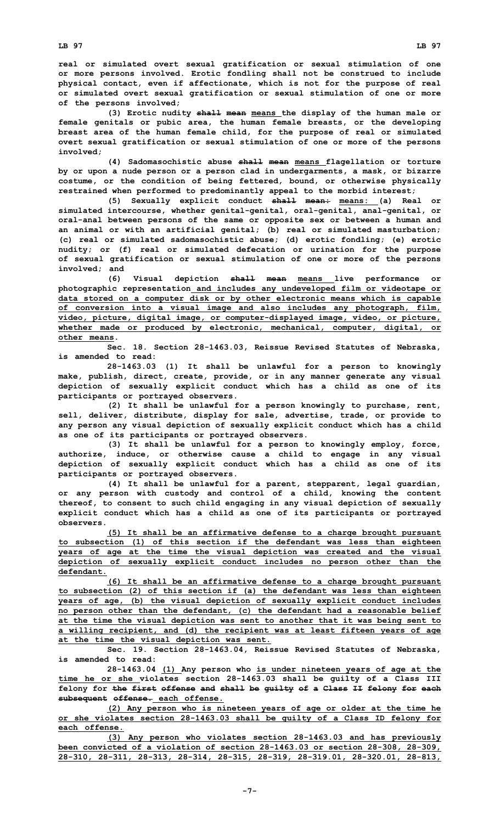**real or simulated overt sexual gratification or sexual stimulation of one or more persons involved. Erotic fondling shall not be construed to include physical contact, even if affectionate, which is not for the purpose of real or simulated overt sexual gratification or sexual stimulation of one or more of the persons involved;**

**(3) Erotic nudity shall mean means the display of the human male or female genitals or pubic area, the human female breasts, or the developing breast area of the human female child, for the purpose of real or simulated overt sexual gratification or sexual stimulation of one or more of the persons involved;**

**(4) Sadomasochistic abuse shall mean means flagellation or torture by or upon <sup>a</sup> nude person or <sup>a</sup> person clad in undergarments, <sup>a</sup> mask, or bizarre costume, or the condition of being fettered, bound, or otherwise physically restrained when performed to predominantly appeal to the morbid interest;**

**(5) Sexually explicit conduct shall mean: means: (a) Real or simulated intercourse, whether genital-genital, oral-genital, anal-genital, or oral-anal between persons of the same or opposite sex or between <sup>a</sup> human and an animal or with an artificial genital; (b) real or simulated masturbation; (c) real or simulated sadomasochistic abuse; (d) erotic fondling; (e) erotic nudity; or (f) real or simulated defecation or urination for the purpose of sexual gratification or sexual stimulation of one or more of the persons involved; and**

**(6) Visual depiction shall mean means live performance or photographic representation and includes any undeveloped film or videotape or data stored on <sup>a</sup> computer disk or by other electronic means which is capable of conversion into <sup>a</sup> visual image and also includes any photograph, film, video, picture, digital image, or computer-displayed image, video, or picture, whether made or produced by electronic, mechanical, computer, digital, or other means.**

**Sec. 18. Section 28-1463.03, Reissue Revised Statutes of Nebraska, is amended to read:**

**28-1463.03 (1) It shall be unlawful for <sup>a</sup> person to knowingly make, publish, direct, create, provide, or in any manner generate any visual depiction of sexually explicit conduct which has <sup>a</sup> child as one of its participants or portrayed observers.**

**(2) It shall be unlawful for <sup>a</sup> person knowingly to purchase, rent, sell, deliver, distribute, display for sale, advertise, trade, or provide to any person any visual depiction of sexually explicit conduct which has <sup>a</sup> child as one of its participants or portrayed observers.**

**(3) It shall be unlawful for <sup>a</sup> person to knowingly employ, force, authorize, induce, or otherwise cause <sup>a</sup> child to engage in any visual depiction of sexually explicit conduct which has <sup>a</sup> child as one of its participants or portrayed observers.**

**(4) It shall be unlawful for <sup>a</sup> parent, stepparent, legal guardian, or any person with custody and control of <sup>a</sup> child, knowing the content thereof, to consent to such child engaging in any visual depiction of sexually explicit conduct which has <sup>a</sup> child as one of its participants or portrayed observers.**

**(5) It shall be an affirmative defense to <sup>a</sup> charge brought pursuant to subsection (1) of this section if the defendant was less than eighteen years of age at the time the visual depiction was created and the visual depiction of sexually explicit conduct includes no person other than the defendant.**

**(6) It shall be an affirmative defense to <sup>a</sup> charge brought pursuant to subsection (2) of this section if (a) the defendant was less than eighteen years of age, (b) the visual depiction of sexually explicit conduct includes no person other than the defendant, (c) the defendant had <sup>a</sup> reasonable belief at the time the visual depiction was sent to another that it was being sent to <sup>a</sup> willing recipient, and (d) the recipient was at least fifteen years of age at the time the visual depiction was sent.**

**Sec. 19. Section 28-1463.04, Reissue Revised Statutes of Nebraska, is amended to read:**

**28-1463.04 (1) Any person who is under nineteen years of age at the time he or she violates section 28-1463.03 shall be guilty of <sup>a</sup> Class III felony for the first offense and shall be guilty of <sup>a</sup> Class II felony for each subsequent offense. each offense.**

**(2) Any person who is nineteen years of age or older at the time he or she violates section 28-1463.03 shall be guilty of <sup>a</sup> Class ID felony for each offense.**

**(3) Any person who violates section 28-1463.03 and has previously been convicted of <sup>a</sup> violation of section 28-1463.03 or section 28-308, 28-309, 28-310, 28-311, 28-313, 28-314, 28-315, 28-319, 28-319.01, 28-320.01, 28-813,**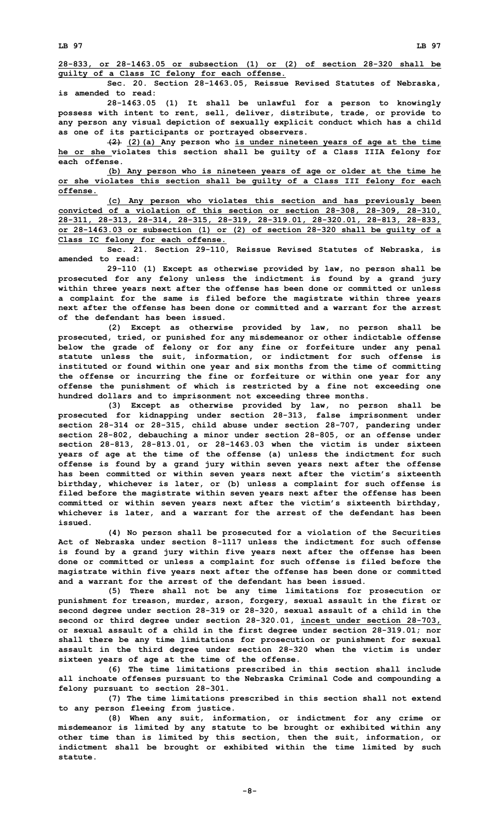**Sec. 20. Section 28-1463.05, Reissue Revised Statutes of Nebraska, is amended to read:**

**28-1463.05 (1) It shall be unlawful for <sup>a</sup> person to knowingly possess with intent to rent, sell, deliver, distribute, trade, or provide to any person any visual depiction of sexually explicit conduct which has <sup>a</sup> child as one of its participants or portrayed observers.**

**(2) (2)(a) Any person who is under nineteen years of age at the time he or she violates this section shall be guilty of <sup>a</sup> Class IIIA felony for each offense.**

**(b) Any person who is nineteen years of age or older at the time he or she violates this section shall be guilty of <sup>a</sup> Class III felony for each offense.**

**(c) Any person who violates this section and has previously been convicted of <sup>a</sup> violation of this section or section 28-308, 28-309, 28-310, 28-311, 28-313, 28-314, 28-315, 28-319, 28-319.01, 28-320.01, 28-813, 28-833, or 28-1463.03 or subsection (1) or (2) of section 28-320 shall be guilty of <sup>a</sup> Class IC felony for each offense.**

**Sec. 21. Section 29-110, Reissue Revised Statutes of Nebraska, is amended to read:**

**29-110 (1) Except as otherwise provided by law, no person shall be prosecuted for any felony unless the indictment is found by <sup>a</sup> grand jury within three years next after the offense has been done or committed or unless <sup>a</sup> complaint for the same is filed before the magistrate within three years next after the offense has been done or committed and a warrant for the arrest of the defendant has been issued.**

**(2) Except as otherwise provided by law, no person shall be prosecuted, tried, or punished for any misdemeanor or other indictable offense below the grade of felony or for any fine or forfeiture under any penal statute unless the suit, information, or indictment for such offense is instituted or found within one year and six months from the time of committing the offense or incurring the fine or forfeiture or within one year for any offense the punishment of which is restricted by <sup>a</sup> fine not exceeding one hundred dollars and to imprisonment not exceeding three months.**

**(3) Except as otherwise provided by law, no person shall be prosecuted for kidnapping under section 28-313, false imprisonment under section 28-314 or 28-315, child abuse under section 28-707, pandering under section 28-802, debauching <sup>a</sup> minor under section 28-805, or an offense under section 28-813, 28-813.01, or 28-1463.03 when the victim is under sixteen years of age at the time of the offense (a) unless the indictment for such offense is found by <sup>a</sup> grand jury within seven years next after the offense has been committed or within seven years next after the victim's sixteenth birthday, whichever is later, or (b) unless <sup>a</sup> complaint for such offense is filed before the magistrate within seven years next after the offense has been committed or within seven years next after the victim's sixteenth birthday, whichever is later, and <sup>a</sup> warrant for the arrest of the defendant has been issued.**

**(4) No person shall be prosecuted for <sup>a</sup> violation of the Securities Act of Nebraska under section 8-1117 unless the indictment for such offense is found by <sup>a</sup> grand jury within five years next after the offense has been done or committed or unless <sup>a</sup> complaint for such offense is filed before the magistrate within five years next after the offense has been done or committed and a warrant for the arrest of the defendant has been issued.**

**(5) There shall not be any time limitations for prosecution or punishment for treason, murder, arson, forgery, sexual assault in the first or second degree under section 28-319 or 28-320, sexual assault of <sup>a</sup> child in the second or third degree under section 28-320.01, incest under section 28-703, or sexual assault of <sup>a</sup> child in the first degree under section 28-319.01; nor shall there be any time limitations for prosecution or punishment for sexual assault in the third degree under section 28-320 when the victim is under sixteen years of age at the time of the offense.**

**(6) The time limitations prescribed in this section shall include all inchoate offenses pursuant to the Nebraska Criminal Code and compounding <sup>a</sup> felony pursuant to section 28-301.**

**(7) The time limitations prescribed in this section shall not extend to any person fleeing from justice.**

**(8) When any suit, information, or indictment for any crime or misdemeanor is limited by any statute to be brought or exhibited within any other time than is limited by this section, then the suit, information, or indictment shall be brought or exhibited within the time limited by such statute.**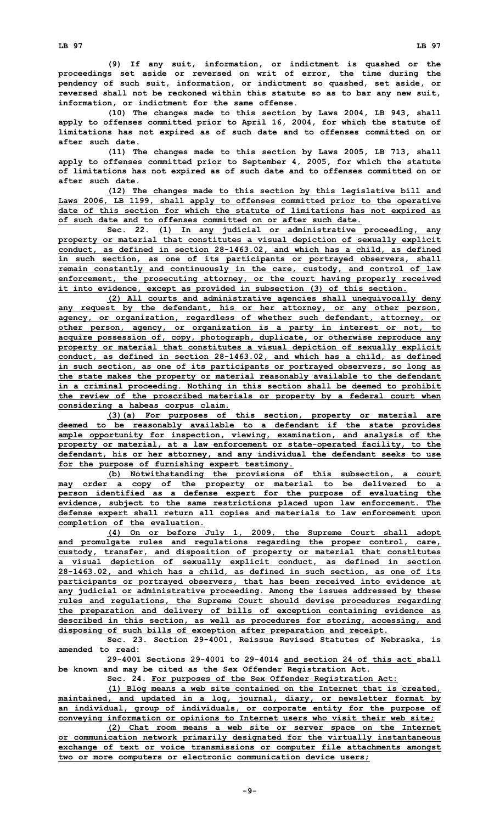**(9) If any suit, information, or indictment is quashed or the proceedings set aside or reversed on writ of error, the time during the pendency of such suit, information, or indictment so quashed, set aside, or reversed shall not be reckoned within this statute so as to bar any new suit, information, or indictment for the same offense.**

**(10) The changes made to this section by Laws 2004, LB 943, shall apply to offenses committed prior to April 16, 2004, for which the statute of limitations has not expired as of such date and to offenses committed on or after such date.**

**(11) The changes made to this section by Laws 2005, LB 713, shall apply to offenses committed prior to September 4, 2005, for which the statute of limitations has not expired as of such date and to offenses committed on or after such date.**

**(12) The changes made to this section by this legislative bill and Laws 2006, LB 1199, shall apply to offenses committed prior to the operative date of this section for which the statute of limitations has not expired as of such date and to offenses committed on or after such date.**

**Sec. 22. (1) In any judicial or administrative proceeding, any property or material that constitutes <sup>a</sup> visual depiction of sexually explicit conduct, as defined in section 28-1463.02, and which has <sup>a</sup> child, as defined in such section, as one of its participants or portrayed observers, shall remain constantly and continuously in the care, custody, and control of law enforcement, the prosecuting attorney, or the court having properly received it into evidence, except as provided in subsection (3) of this section.**

**(2) All courts and administrative agencies shall unequivocally deny any request by the defendant, his or her attorney, or any other person, agency, or organization, regardless of whether such defendant, attorney, or other person, agency, or organization is <sup>a</sup> party in interest or not, to acquire possession of, copy, photograph, duplicate, or otherwise reproduce any property or material that constitutes <sup>a</sup> visual depiction of sexually explicit conduct, as defined in section 28-1463.02, and which has <sup>a</sup> child, as defined in such section, as one of its participants or portrayed observers, so long as the state makes the property or material reasonably available to the defendant in <sup>a</sup> criminal proceeding. Nothing in this section shall be deemed to prohibit the review of the proscribed materials or property by <sup>a</sup> federal court when considering <sup>a</sup> habeas corpus claim.**

**(3)(a) For purposes of this section, property or material are deemed to be reasonably available to <sup>a</sup> defendant if the state provides ample opportunity for inspection, viewing, examination, and analysis of the property or material, at <sup>a</sup> law enforcement or state-operated facility, to the defendant, his or her attorney, and any individual the defendant seeks to use for the purpose of furnishing expert testimony.**

**(b) Notwithstanding the provisions of this subsection, <sup>a</sup> court may order <sup>a</sup> copy of the property or material to be delivered to <sup>a</sup> person identified as <sup>a</sup> defense expert for the purpose of evaluating the evidence, subject to the same restrictions placed upon law enforcement. The defense expert shall return all copies and materials to law enforcement upon completion of the evaluation.**

**(4) On or before July 1, 2009, the Supreme Court shall adopt and promulgate rules and regulations regarding the proper control, care, custody, transfer, and disposition of property or material that constitutes <sup>a</sup> visual depiction of sexually explicit conduct, as defined in section 28-1463.02, and which has <sup>a</sup> child, as defined in such section, as one of its participants or portrayed observers, that has been received into evidence at any judicial or administrative proceeding. Among the issues addressed by these rules and regulations, the Supreme Court should devise procedures regarding the preparation and delivery of bills of exception containing evidence as described in this section, as well as procedures for storing, accessing, and disposing of such bills of exception after preparation and receipt.**

**Sec. 23. Section 29-4001, Reissue Revised Statutes of Nebraska, is amended to read:**

**29-4001 Sections 29-4001 to 29-4014 and section 24 of this act shall be known and may be cited as the Sex Offender Registration Act.**

**Sec. 24. For purposes of the Sex Offender Registration Act:**

**(1) Blog means <sup>a</sup> web site contained on the Internet that is created, maintained, and updated in <sup>a</sup> log, journal, diary, or newsletter format by an individual, group of individuals, or corporate entity for the purpose of conveying information or opinions to Internet users who visit their web site;**

**(2) Chat room means <sup>a</sup> web site or server space on the Internet or communication network primarily designated for the virtually instantaneous exchange of text or voice transmissions or computer file attachments amongst two or more computers or electronic communication device users;**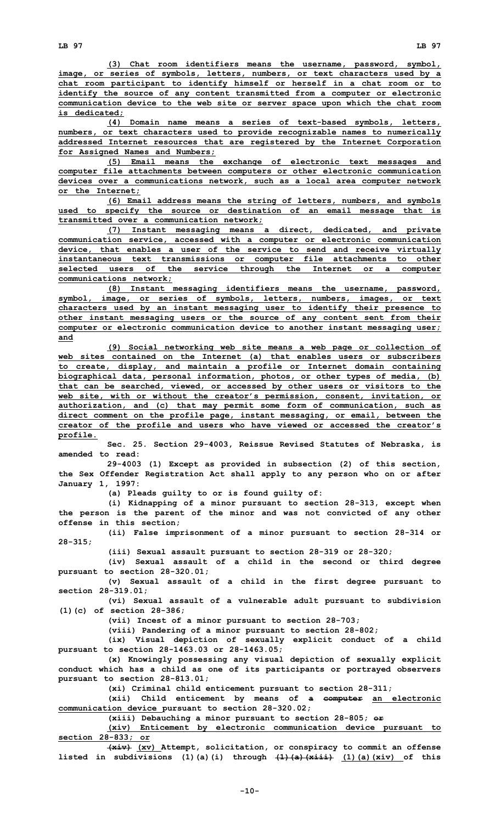**(3) Chat room identifiers means the username, password, symbol, image, or series of symbols, letters, numbers, or text characters used by <sup>a</sup> chat room participant to identify himself or herself in <sup>a</sup> chat room or to identify the source of any content transmitted from <sup>a</sup> computer or electronic communication device to the web site or server space upon which the chat room is dedicated;**

**(4) Domain name means <sup>a</sup> series of text-based symbols, letters, numbers, or text characters used to provide recognizable names to numerically addressed Internet resources that are registered by the Internet Corporation for Assigned Names and Numbers;**

**(5) Email means the exchange of electronic text messages and computer file attachments between computers or other electronic communication devices over <sup>a</sup> communications network, such as <sup>a</sup> local area computer network or the Internet;**

**(6) Email address means the string of letters, numbers, and symbols used to specify the source or destination of an email message that is transmitted over <sup>a</sup> communication network;**

**(7) Instant messaging means <sup>a</sup> direct, dedicated, and private communication service, accessed with <sup>a</sup> computer or electronic communication device, that enables <sup>a</sup> user of the service to send and receive virtually instantaneous text transmissions or computer file attachments to other selected users of the service through the Internet or <sup>a</sup> computer communications network;**

**(8) Instant messaging identifiers means the username, password, symbol, image, or series of symbols, letters, numbers, images, or text characters used by an instant messaging user to identify their presence to other instant messaging users or the source of any content sent from their computer or electronic communication device to another instant messaging user; and**

**(9) Social networking web site means <sup>a</sup> web page or collection of web sites contained on the Internet (a) that enables users or subscribers to create, display, and maintain <sup>a</sup> profile or Internet domain containing biographical data, personal information, photos, or other types of media, (b) that can be searched, viewed, or accessed by other users or visitors to the web site, with or without the creator's permission, consent, invitation, or authorization, and (c) that may permit some form of communication, such as direct comment on the profile page, instant messaging, or email, between the creator of the profile and users who have viewed or accessed the creator's profile.**

**Sec. 25. Section 29-4003, Reissue Revised Statutes of Nebraska, is amended to read:**

**29-4003 (1) Except as provided in subsection (2) of this section, the Sex Offender Registration Act shall apply to any person who on or after January 1, 1997:**

**(a) Pleads guilty to or is found guilty of:**

**(i) Kidnapping of <sup>a</sup> minor pursuant to section 28-313, except when the person is the parent of the minor and was not convicted of any other offense in this section;**

**(ii) False imprisonment of <sup>a</sup> minor pursuant to section 28-314 or 28-315;**

**(iii) Sexual assault pursuant to section 28-319 or 28-320;**

**(iv) Sexual assault of <sup>a</sup> child in the second or third degree pursuant to section 28-320.01;**

**(v) Sexual assault of <sup>a</sup> child in the first degree pursuant to section 28-319.01;**

**(vi) Sexual assault of <sup>a</sup> vulnerable adult pursuant to subdivision (1)(c) of section 28-386;**

**(vii) Incest of <sup>a</sup> minor pursuant to section 28-703;**

**(viii) Pandering of <sup>a</sup> minor pursuant to section 28-802;**

**(ix) Visual depiction of sexually explicit conduct of <sup>a</sup> child pursuant to section 28-1463.03 or 28-1463.05;**

**(x) Knowingly possessing any visual depiction of sexually explicit conduct which has <sup>a</sup> child as one of its participants or portrayed observers pursuant to section 28-813.01;**

**(xi) Criminal child enticement pursuant to section 28-311;**

**(xii) Child enticement by means of <sup>a</sup> computer an electronic communication device pursuant to section 28-320.02;**

**(xiii) Debauching <sup>a</sup> minor pursuant to section 28-805; or**

**(xiv) Enticement by electronic communication device pursuant to section 28-833; or**

**(xiv) (xv) Attempt, solicitation, or conspiracy to commit an offense listed in subdivisions (1)(a)(i) through (1)(a)(xiii) (1)(a)(xiv) of this**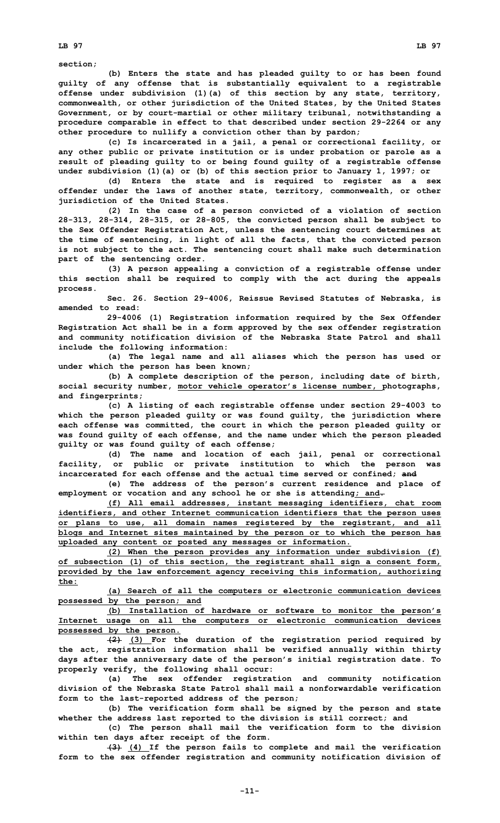**section;**

**(b) Enters the state and has pleaded guilty to or has been found guilty of any offense that is substantially equivalent to <sup>a</sup> registrable offense under subdivision (1)(a) of this section by any state, territory, commonwealth, or other jurisdiction of the United States, by the United States Government, or by court-martial or other military tribunal, notwithstanding <sup>a</sup> procedure comparable in effect to that described under section 29-2264 or any other procedure to nullify <sup>a</sup> conviction other than by pardon;**

**(c) Is incarcerated in <sup>a</sup> jail, <sup>a</sup> penal or correctional facility, or any other public or private institution or is under probation or parole as <sup>a</sup> result of pleading guilty to or being found guilty of <sup>a</sup> registrable offense under subdivision (1)(a) or (b) of this section prior to January 1, 1997; or**

**(d) Enters the state and is required to register as <sup>a</sup> sex offender under the laws of another state, territory, commonwealth, or other jurisdiction of the United States.**

**(2) In the case of <sup>a</sup> person convicted of <sup>a</sup> violation of section 28-313, 28-314, 28-315, or 28-805, the convicted person shall be subject to the Sex Offender Registration Act, unless the sentencing court determines at the time of sentencing, in light of all the facts, that the convicted person is not subject to the act. The sentencing court shall make such determination part of the sentencing order.**

**(3) <sup>A</sup> person appealing <sup>a</sup> conviction of <sup>a</sup> registrable offense under this section shall be required to comply with the act during the appeals process.**

**Sec. 26. Section 29-4006, Reissue Revised Statutes of Nebraska, is amended to read:**

**29-4006 (1) Registration information required by the Sex Offender Registration Act shall be in <sup>a</sup> form approved by the sex offender registration and community notification division of the Nebraska State Patrol and shall include the following information:**

**(a) The legal name and all aliases which the person has used or under which the person has been known;**

**(b) <sup>A</sup> complete description of the person, including date of birth, social security number, motor vehicle operator's license number, photographs, and fingerprints;**

**(c) <sup>A</sup> listing of each registrable offense under section 29-4003 to which the person pleaded guilty or was found guilty, the jurisdiction where each offense was committed, the court in which the person pleaded guilty or was found guilty of each offense, and the name under which the person pleaded guilty or was found guilty of each offense;**

**(d) The name and location of each jail, penal or correctional facility, or public or private institution to which the person was incarcerated for each offense and the actual time served or confined; and**

**(e) The address of the person's current residence and place of employment or vocation and any school he or she is attending; and.**

**(f) All email addresses, instant messaging identifiers, chat room identifiers, and other Internet communication identifiers that the person uses or plans to use, all domain names registered by the registrant, and all blogs and Internet sites maintained by the person or to which the person has uploaded any content or posted any messages or information.**

**(2) When the person provides any information under subdivision (f) of subsection (1) of this section, the registrant shall sign <sup>a</sup> consent form, provided by the law enforcement agency receiving this information, authorizing the:**

**(a) Search of all the computers or electronic communication devices possessed by the person; and**

**(b) Installation of hardware or software to monitor the person's Internet usage on all the computers or electronic communication devices possessed by the person.**

**(2) (3) For the duration of the registration period required by the act, registration information shall be verified annually within thirty days after the anniversary date of the person's initial registration date. To properly verify, the following shall occur:**

**(a) The sex offender registration and community notification division of the Nebraska State Patrol shall mail a nonforwardable verification form to the last-reported address of the person;**

**(b) The verification form shall be signed by the person and state whether the address last reported to the division is still correct; and**

**(c) The person shall mail the verification form to the division within ten days after receipt of the form.**

**(3) (4) If the person fails to complete and mail the verification form to the sex offender registration and community notification division of**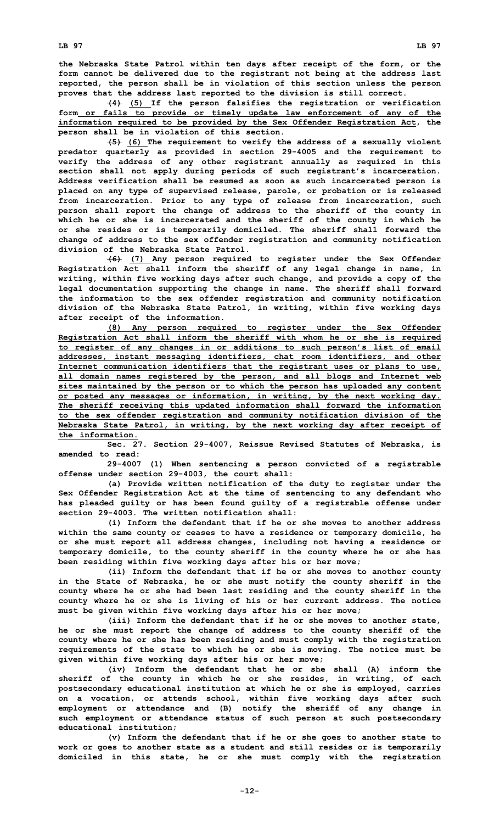**the Nebraska State Patrol within ten days after receipt of the form, or the form cannot be delivered due to the registrant not being at the address last reported, the person shall be in violation of this section unless the person proves that the address last reported to the division is still correct.**

**(4) (5) If the person falsifies the registration or verification form or fails to provide or timely update law enforcement of any of the information required to be provided by the Sex Offender Registration Act, the person shall be in violation of this section.**

**(5) (6) The requirement to verify the address of <sup>a</sup> sexually violent predator quarterly as provided in section 29-4005 and the requirement to verify the address of any other registrant annually as required in this section shall not apply during periods of such registrant's incarceration. Address verification shall be resumed as soon as such incarcerated person is placed on any type of supervised release, parole, or probation or is released from incarceration. Prior to any type of release from incarceration, such person shall report the change of address to the sheriff of the county in which he or she is incarcerated and the sheriff of the county in which he or she resides or is temporarily domiciled. The sheriff shall forward the change of address to the sex offender registration and community notification division of the Nebraska State Patrol.**

**(6) (7) Any person required to register under the Sex Offender Registration Act shall inform the sheriff of any legal change in name, in writing, within five working days after such change, and provide <sup>a</sup> copy of the legal documentation supporting the change in name. The sheriff shall forward the information to the sex offender registration and community notification division of the Nebraska State Patrol, in writing, within five working days after receipt of the information.**

**(8) Any person required to register under the Sex Offender Registration Act shall inform the sheriff with whom he or she is required to register of any changes in or additions to such person's list of email addresses, instant messaging identifiers, chat room identifiers, and other Internet communication identifiers that the registrant uses or plans to use, all domain names registered by the person, and all blogs and Internet web sites maintained by the person or to which the person has uploaded any content or posted any messages or information, in writing, by the next working day. The sheriff receiving this updated information shall forward the information to the sex offender registration and community notification division of the Nebraska State Patrol, in writing, by the next working day after receipt of the information.**

**Sec. 27. Section 29-4007, Reissue Revised Statutes of Nebraska, is amended to read:**

**29-4007 (1) When sentencing <sup>a</sup> person convicted of <sup>a</sup> registrable offense under section 29-4003, the court shall:**

**(a) Provide written notification of the duty to register under the Sex Offender Registration Act at the time of sentencing to any defendant who has pleaded guilty or has been found guilty of <sup>a</sup> registrable offense under section 29-4003. The written notification shall:**

**(i) Inform the defendant that if he or she moves to another address within the same county or ceases to have <sup>a</sup> residence or temporary domicile, he or she must report all address changes, including not having <sup>a</sup> residence or temporary domicile, to the county sheriff in the county where he or she has been residing within five working days after his or her move;**

**(ii) Inform the defendant that if he or she moves to another county in the State of Nebraska, he or she must notify the county sheriff in the county where he or she had been last residing and the county sheriff in the county where he or she is living of his or her current address. The notice must be given within five working days after his or her move;**

**(iii) Inform the defendant that if he or she moves to another state, he or she must report the change of address to the county sheriff of the county where he or she has been residing and must comply with the registration requirements of the state to which he or she is moving. The notice must be given within five working days after his or her move;**

**(iv) Inform the defendant that he or she shall (A) inform the sheriff of the county in which he or she resides, in writing, of each postsecondary educational institution at which he or she is employed, carries on <sup>a</sup> vocation, or attends school, within five working days after such employment or attendance and (B) notify the sheriff of any change in such employment or attendance status of such person at such postsecondary educational institution;**

**(v) Inform the defendant that if he or she goes to another state to work or goes to another state as <sup>a</sup> student and still resides or is temporarily domiciled in this state, he or she must comply with the registration**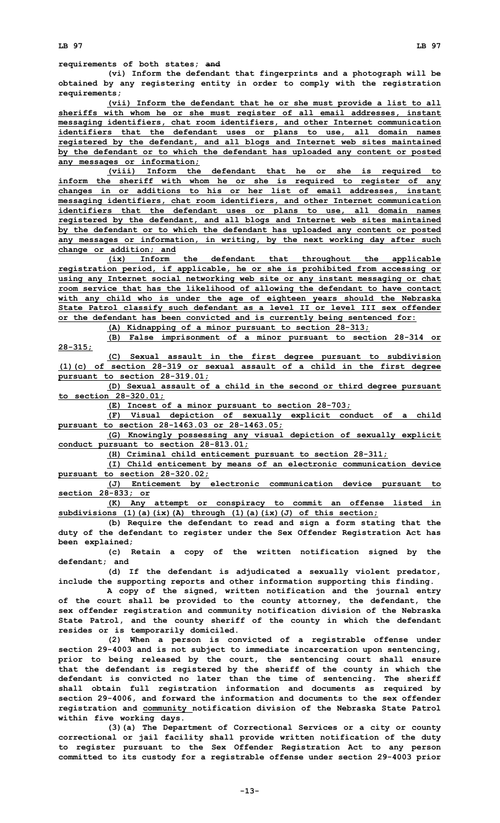**(vi) Inform the defendant that fingerprints and <sup>a</sup> photograph will be obtained by any registering entity in order to comply with the registration requirements;**

**(vii) Inform the defendant that he or she must provide <sup>a</sup> list to all sheriffs with whom he or she must register of all email addresses, instant messaging identifiers, chat room identifiers, and other Internet communication identifiers that the defendant uses or plans to use, all domain names registered by the defendant, and all blogs and Internet web sites maintained by the defendant or to which the defendant has uploaded any content or posted any messages or information;**

**(viii) Inform the defendant that he or she is required to inform the sheriff with whom he or she is required to register of any changes in or additions to his or her list of email addresses, instant messaging identifiers, chat room identifiers, and other Internet communication identifiers that the defendant uses or plans to use, all domain names registered by the defendant, and all blogs and Internet web sites maintained by the defendant or to which the defendant has uploaded any content or posted any messages or information, in writing, by the next working day after such change or addition; and**

**(ix) Inform the defendant that throughout the applicable registration period, if applicable, he or she is prohibited from accessing or using any Internet social networking web site or any instant messaging or chat room service that has the likelihood of allowing the defendant to have contact with any child who is under the age of eighteen years should the Nebraska State Patrol classify such defendant as <sup>a</sup> level II or level III sex offender or the defendant has been convicted and is currently being sentenced for:**

**(A) Kidnapping of <sup>a</sup> minor pursuant to section 28-313;**

**(B) False imprisonment of <sup>a</sup> minor pursuant to section 28-314 or 28-315;**

**(C) Sexual assault in the first degree pursuant to subdivision (1)(c) of section 28-319 or sexual assault of <sup>a</sup> child in the first degree pursuant to section 28-319.01;**

**(D) Sexual assault of <sup>a</sup> child in the second or third degree pursuant to section 28-320.01;**

**(E) Incest of <sup>a</sup> minor pursuant to section 28-703;**

**(F) Visual depiction of sexually explicit conduct of <sup>a</sup> child pursuant to section 28-1463.03 or 28-1463.05;**

**(G) Knowingly possessing any visual depiction of sexually explicit conduct pursuant to section 28-813.01;**

**(H) Criminal child enticement pursuant to section 28-311;**

**(I) Child enticement by means of an electronic communication device pursuant to section 28-320.02;**

**(J) Enticement by electronic communication device pursuant to section 28-833; or**

**(K) Any attempt or conspiracy to commit an offense listed in subdivisions (1)(a)(ix)(A) through (1)(a)(ix)(J) of this section;**

**(b) Require the defendant to read and sign <sup>a</sup> form stating that the duty of the defendant to register under the Sex Offender Registration Act has been explained;**

**(c) Retain <sup>a</sup> copy of the written notification signed by the defendant; and**

**(d) If the defendant is adjudicated <sup>a</sup> sexually violent predator, include the supporting reports and other information supporting this finding.**

**A copy of the signed, written notification and the journal entry of the court shall be provided to the county attorney, the defendant, the sex offender registration and community notification division of the Nebraska State Patrol, and the county sheriff of the county in which the defendant resides or is temporarily domiciled.**

**(2) When <sup>a</sup> person is convicted of <sup>a</sup> registrable offense under section 29-4003 and is not subject to immediate incarceration upon sentencing, prior to being released by the court, the sentencing court shall ensure that the defendant is registered by the sheriff of the county in which the defendant is convicted no later than the time of sentencing. The sheriff shall obtain full registration information and documents as required by section 29-4006, and forward the information and documents to the sex offender registration and community notification division of the Nebraska State Patrol within five working days.**

**(3)(a) The Department of Correctional Services or <sup>a</sup> city or county correctional or jail facility shall provide written notification of the duty to register pursuant to the Sex Offender Registration Act to any person committed to its custody for <sup>a</sup> registrable offense under section 29-4003 prior**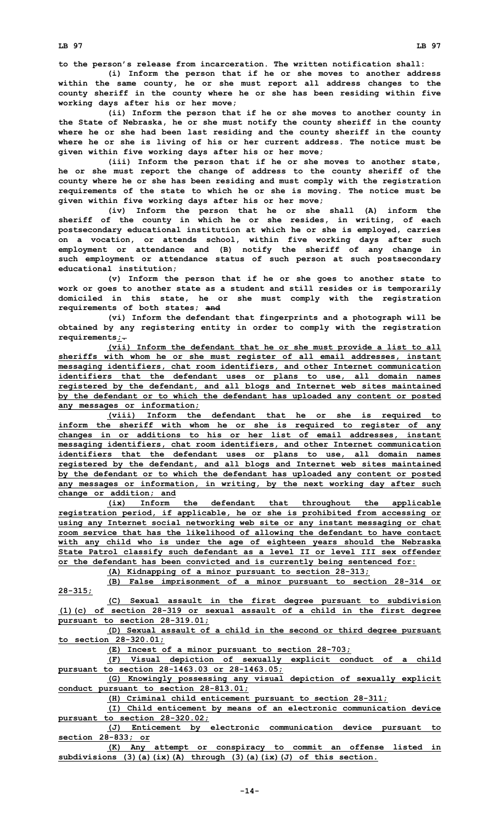**to the person's release from incarceration. The written notification shall:**

**(i) Inform the person that if he or she moves to another address within the same county, he or she must report all address changes to the county sheriff in the county where he or she has been residing within five working days after his or her move;**

**(ii) Inform the person that if he or she moves to another county in the State of Nebraska, he or she must notify the county sheriff in the county where he or she had been last residing and the county sheriff in the county where he or she is living of his or her current address. The notice must be given within five working days after his or her move;**

**(iii) Inform the person that if he or she moves to another state, he or she must report the change of address to the county sheriff of the county where he or she has been residing and must comply with the registration requirements of the state to which he or she is moving. The notice must be given within five working days after his or her move;**

**(iv) Inform the person that he or she shall (A) inform the sheriff of the county in which he or she resides, in writing, of each postsecondary educational institution at which he or she is employed, carries on <sup>a</sup> vocation, or attends school, within five working days after such employment or attendance and (B) notify the sheriff of any change in such employment or attendance status of such person at such postsecondary educational institution;**

**(v) Inform the person that if he or she goes to another state to work or goes to another state as <sup>a</sup> student and still resides or is temporarily domiciled in this state, he or she must comply with the registration requirements of both states; and**

**(vi) Inform the defendant that fingerprints and <sup>a</sup> photograph will be obtained by any registering entity in order to comply with the registration requirements;.**

**(vii) Inform the defendant that he or she must provide <sup>a</sup> list to all sheriffs with whom he or she must register of all email addresses, instant messaging identifiers, chat room identifiers, and other Internet communication identifiers that the defendant uses or plans to use, all domain names registered by the defendant, and all blogs and Internet web sites maintained by the defendant or to which the defendant has uploaded any content or posted any messages or information;**

**(viii) Inform the defendant that he or she is required to inform the sheriff with whom he or she is required to register of any changes in or additions to his or her list of email addresses, instant messaging identifiers, chat room identifiers, and other Internet communication identifiers that the defendant uses or plans to use, all domain names registered by the defendant, and all blogs and Internet web sites maintained by the defendant or to which the defendant has uploaded any content or posted any messages or information, in writing, by the next working day after such change or addition; and**

**(ix) Inform the defendant that throughout the applicable registration period, if applicable, he or she is prohibited from accessing or using any Internet social networking web site or any instant messaging or chat room service that has the likelihood of allowing the defendant to have contact with any child who is under the age of eighteen years should the Nebraska State Patrol classify such defendant as <sup>a</sup> level II or level III sex offender or the defendant has been convicted and is currently being sentenced for:**

**(A) Kidnapping of <sup>a</sup> minor pursuant to section 28-313;**

**(B) False imprisonment of <sup>a</sup> minor pursuant to section 28-314 or 28-315;**

**(C) Sexual assault in the first degree pursuant to subdivision (1)(c) of section 28-319 or sexual assault of <sup>a</sup> child in the first degree pursuant to section 28-319.01;**

**(D) Sexual assault of <sup>a</sup> child in the second or third degree pursuant to section 28-320.01;**

**(E) Incest of <sup>a</sup> minor pursuant to section 28-703;**

**(F) Visual depiction of sexually explicit conduct of <sup>a</sup> child pursuant to section 28-1463.03 or 28-1463.05;**

**(G) Knowingly possessing any visual depiction of sexually explicit conduct pursuant to section 28-813.01;**

**(H) Criminal child enticement pursuant to section 28-311;**

**(I) Child enticement by means of an electronic communication device pursuant to section 28-320.02;**

**(J) Enticement by electronic communication device pursuant to section 28-833; or**

**(K) Any attempt or conspiracy to commit an offense listed in subdivisions (3)(a)(ix)(A) through (3)(a)(ix)(J) of this section.**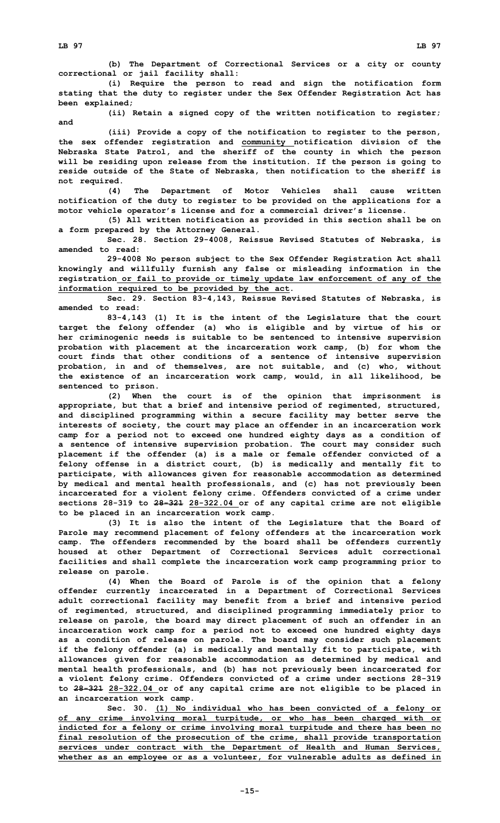**(i) Require the person to read and sign the notification form stating that the duty to register under the Sex Offender Registration Act has been explained;**

**(ii) Retain <sup>a</sup> signed copy of the written notification to register; and**

**(iii) Provide <sup>a</sup> copy of the notification to register to the person, the sex offender registration and community notification division of the Nebraska State Patrol, and the sheriff of the county in which the person will be residing upon release from the institution. If the person is going to reside outside of the State of Nebraska, then notification to the sheriff is not required.**

**(4) The Department of Motor Vehicles shall cause written notification of the duty to register to be provided on the applications for <sup>a</sup> motor vehicle operator's license and for <sup>a</sup> commercial driver's license.**

**(5) All written notification as provided in this section shall be on <sup>a</sup> form prepared by the Attorney General.**

**Sec. 28. Section 29-4008, Reissue Revised Statutes of Nebraska, is amended to read:**

**29-4008 No person subject to the Sex Offender Registration Act shall knowingly and willfully furnish any false or misleading information in the registration or fail to provide or timely update law enforcement of any of the information required to be provided by the act.**

**Sec. 29. Section 83-4,143, Reissue Revised Statutes of Nebraska, is amended to read:**

**83-4,143 (1) It is the intent of the Legislature that the court target the felony offender (a) who is eligible and by virtue of his or her criminogenic needs is suitable to be sentenced to intensive supervision probation with placement at the incarceration work camp, (b) for whom the court finds that other conditions of <sup>a</sup> sentence of intensive supervision probation, in and of themselves, are not suitable, and (c) who, without the existence of an incarceration work camp, would, in all likelihood, be sentenced to prison.**

**(2) When the court is of the opinion that imprisonment is appropriate, but that <sup>a</sup> brief and intensive period of regimented, structured, and disciplined programming within <sup>a</sup> secure facility may better serve the interests of society, the court may place an offender in an incarceration work camp for <sup>a</sup> period not to exceed one hundred eighty days as <sup>a</sup> condition of <sup>a</sup> sentence of intensive supervision probation. The court may consider such placement if the offender (a) is <sup>a</sup> male or female offender convicted of <sup>a</sup> felony offense in <sup>a</sup> district court, (b) is medically and mentally fit to participate, with allowances given for reasonable accommodation as determined by medical and mental health professionals, and (c) has not previously been incarcerated for <sup>a</sup> violent felony crime. Offenders convicted of <sup>a</sup> crime under sections 28-319 to 28-321 28-322.04 or of any capital crime are not eligible to be placed in an incarceration work camp.**

**(3) It is also the intent of the Legislature that the Board of Parole may recommend placement of felony offenders at the incarceration work camp. The offenders recommended by the board shall be offenders currently housed at other Department of Correctional Services adult correctional facilities and shall complete the incarceration work camp programming prior to release on parole.**

**(4) When the Board of Parole is of the opinion that <sup>a</sup> felony offender currently incarcerated in <sup>a</sup> Department of Correctional Services adult correctional facility may benefit from <sup>a</sup> brief and intensive period of regimented, structured, and disciplined programming immediately prior to release on parole, the board may direct placement of such an offender in an incarceration work camp for <sup>a</sup> period not to exceed one hundred eighty days as <sup>a</sup> condition of release on parole. The board may consider such placement if the felony offender (a) is medically and mentally fit to participate, with allowances given for reasonable accommodation as determined by medical and mental health professionals, and (b) has not previously been incarcerated for <sup>a</sup> violent felony crime. Offenders convicted of <sup>a</sup> crime under sections 28-319 to 28-321 28-322.04 or of any capital crime are not eligible to be placed in an incarceration work camp.**

**Sec. 30. (1) No individual who has been convicted of <sup>a</sup> felony or of any crime involving moral turpitude, or who has been charged with or indicted for <sup>a</sup> felony or crime involving moral turpitude and there has been no final resolution of the prosecution of the crime, shall provide transportation services under contract with the Department of Health and Human Services, whether as an employee or as <sup>a</sup> volunteer, for vulnerable adults as defined in**